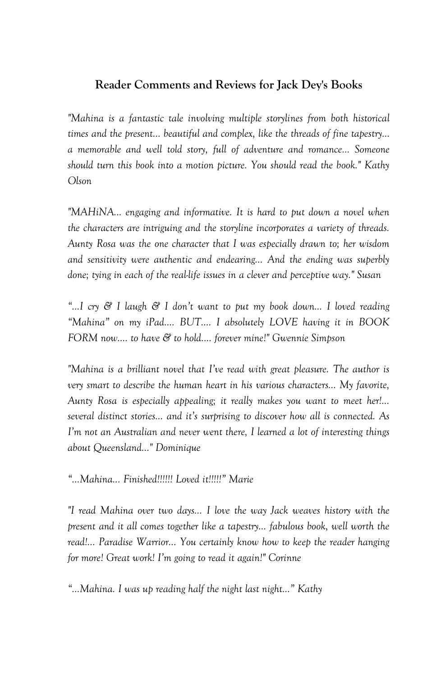## **Reader Comments and Reviews for Jack Dey's Books**

*"Mahina is a fantastic tale involving multiple storylines from both historical times and the present… beautiful and complex, like the threads of fine tapestry… a memorable and well told story, full of adventure and romance… Someone should turn this book into a motion picture. You should read the book." Kathy Olson*

*"MAHiNA... engaging and informative. It is hard to put down a novel when the characters are intriguing and the storyline incorporates a variety of threads. Aunty Rosa was the one character that I was especially drawn to; her wisdom and sensitivity were authentic and endearing... And the ending was superbly done; tying in each of the real-life issues in a clever and perceptive way." Susan*

*"…I cry & I laugh & I don"t want to put my book down… I loved reading "Mahina" on my iPad…. BUT…. I absolutely LOVE having it in BOOK FORM now…. to have & to hold…. forever mine!" Gwennie Simpson*

*"Mahina is a brilliant novel that I"ve read with great pleasure. The author is very smart to describe the human heart in his various characters... My favorite, Aunty Rosa is especially appealing; it really makes you want to meet her!... several distinct stories... and it"s surprising to discover how all is connected. As I"m not an Australian and never went there, I learned a lot of interesting things about Queensland..." Dominique*

*"...Mahina... Finished!!!!!! Loved it!!!!!" Marie*

*"I read Mahina over two days... I love the way Jack weaves history with the present and it all comes together like a tapestry… fabulous book, well worth the read!... Paradise Warrior... You certainly know how to keep the reader hanging for more! Great work! I"m going to read it again!" Corinne* 

*"...Mahina. I was up reading half the night last night…" Kathy*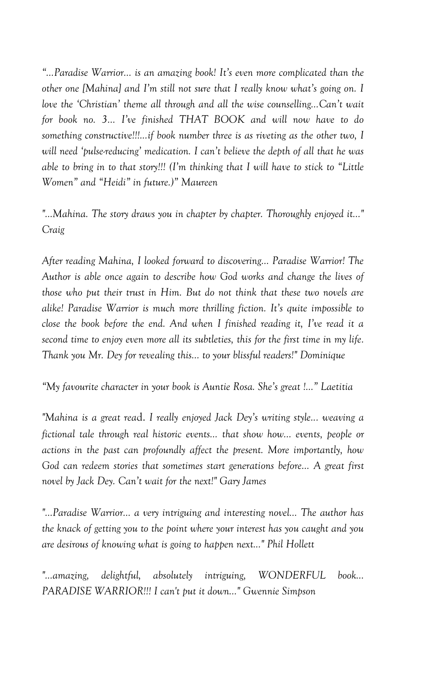*"...Paradise Warrior... is an amazing book! It"s even more complicated than the other one [Mahina] and I"m still not sure that I really know what"s going on. I love the "Christian" theme all through and all the wise counselling...Can"t wait for book no. 3... I"ve finished THAT BOOK and will now have to do something constructive!!!...if book number three is as riveting as the other two, I will need "pulse-reducing" medication. I can"t believe the depth of all that he was able to bring in to that story!!! (I"m thinking that I will have to stick to "Little Women" and "Heidi" in future.)" Maureen*

*"…Mahina. The story draws you in chapter by chapter. Thoroughly enjoyed it..." Craig*

*After reading Mahina, I looked forward to discovering… Paradise Warrior! The Author is able once again to describe how God works and change the lives of those who put their trust in Him. But do not think that these two novels are alike! Paradise Warrior is much more thrilling fiction. It"s quite impossible to close the book before the end. And when I finished reading it, I"ve read it a second time to enjoy even more all its subtleties, this for the first time in my life. Thank you Mr. Dey for revealing this... to your blissful readers!" Dominique*

*"My favourite character in your book is Auntie Rosa. She"s great !…" Laetitia*

*"Mahina is a great rea*d. *I really enjoyed Jack Dey"s writing style... weaving a fictional tale through real historic events… that show how... events, people or actions in the past can profoundly affect the present. More importantly, how God can redeem stories that sometimes start generations before… A great first novel by Jack Dey. Can"t wait for the next!" Gary James*

*"…Paradise Warrior… a very intriguing and interesting novel… The author has the knack of getting you to the point where your interest has you caught and you are desirous of knowing what is going to happen next..." Phil Hollett*

*"...amazing, delightful, absolutely intriguing, WONDERFUL book... PARADISE WARRIOR!!! I can't put it down..." Gwennie Simpson*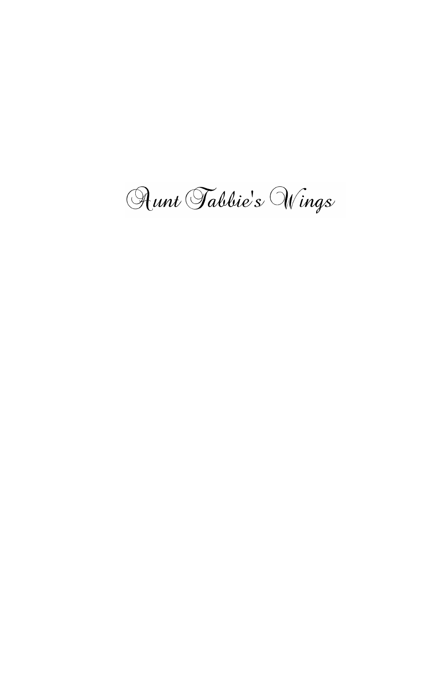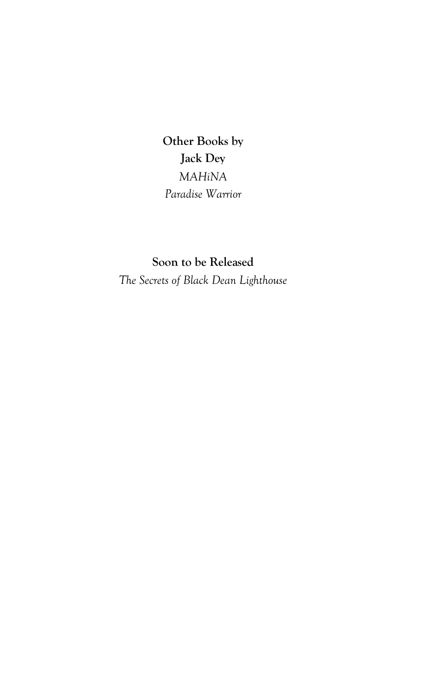**Other Books by Jack Dey** *MAHiNA Paradise Warrior*

**Soon to be Released** *The Secrets of Black Dean Lighthouse*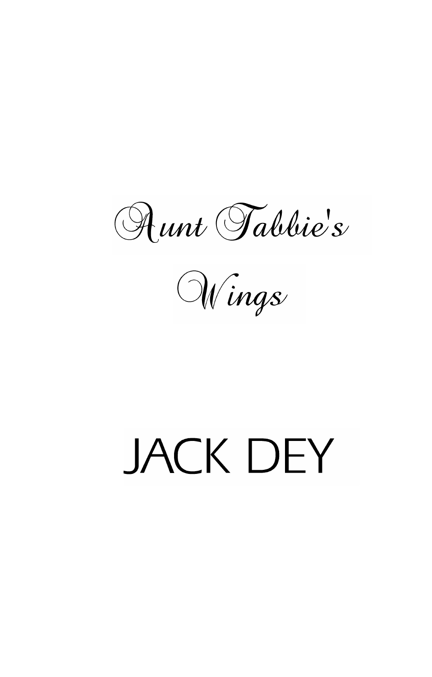Aunt Tabbie's

Wings

# **JACK DEY**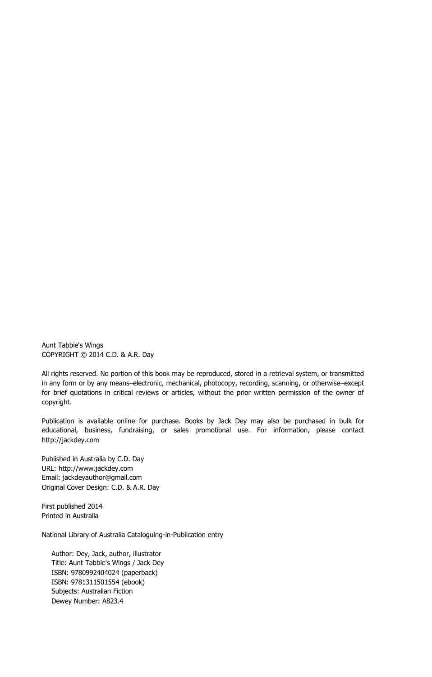Aunt Tabbie's Wings COPYRIGHT © 2014 C.D. & A.R. Day

All rights reserved. No portion of this book may be reproduced, stored in a retrieval system, or transmitted in any form or by any means–electronic, mechanical, photocopy, recording, scanning, or otherwise–except for brief quotations in critical reviews or articles, without the prior written permission of the owner of copyright.

Publication is available online for purchase. Books by Jack Dey may also be purchased in bulk for educational, business, fundraising, or sales promotional use. For information, please contact http://jackdey.com

Published in Australia by C.D. Day URL: http://www.jackdey.com Email: jackdeyauthor@gmail.com Original Cover Design: C.D. & A.R. Day

First published 2014 Printed in Australia

National Library of Australia Cataloguing-in-Publication entry

Author: Dey, Jack, author, illustrator Title: Aunt Tabbie's Wings / Jack Dey ISBN: 9780992404024 (paperback) ISBN: 9781311501554 (ebook) Subjects: Australian Fiction Dewey Number: A823.4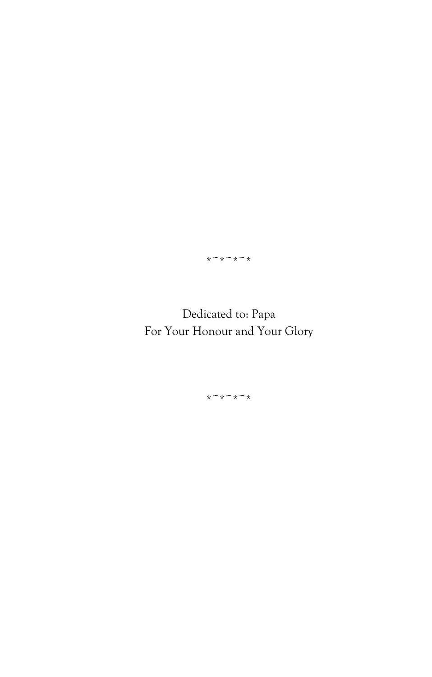$*~\sim~*~\sim~*~\sim$ 

Dedicated to: Papa For Your Honour and Your Glory

 $*~$ \* $~$ \* $~$ \*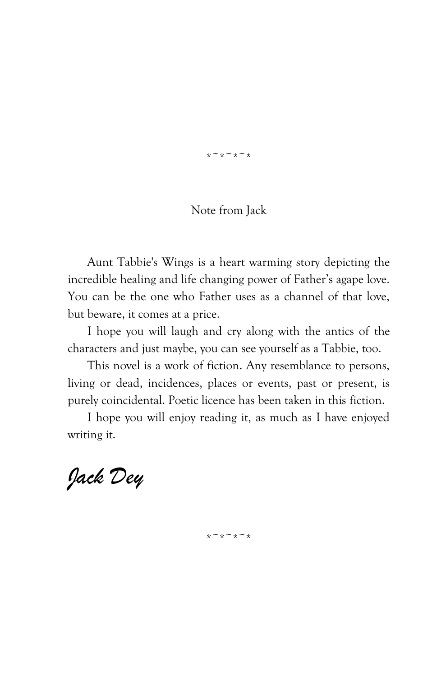$x \sim x \sim x \sim x$ 

## Note from Jack

Aunt Tabbie's Wings is a heart warming story depicting the incredible healing and life changing power of Father's agape love. You can be the one who Father uses as a channel of that love, but beware, it comes at a price.

I hope you will laugh and cry along with the antics of the characters and just maybe, you can see yourself as a Tabbie, too.

This novel is a work of fiction. Any resemblance to persons, living or dead, incidences, places or events, past or present, is purely coincidental. Poetic licence has been taken in this fiction.

I hope you will enjoy reading it, as much as I have enjoyed writing it.

 $*~$ \*\* $~\sim$ \* $~$ \*\*

*Jack Dey*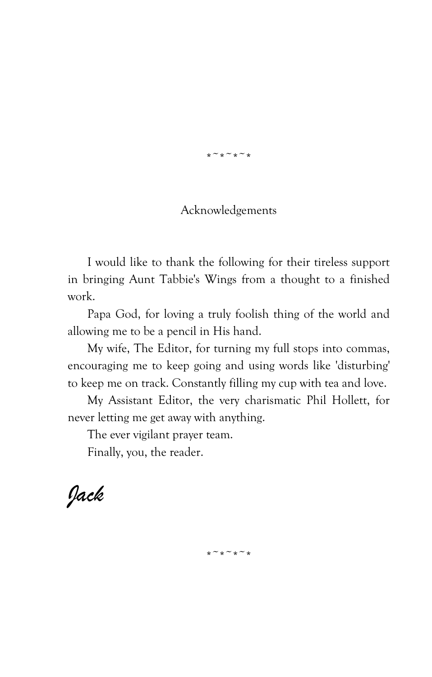$x \sim x \sim x \sim x$ 

## Acknowledgements

I would like to thank the following for their tireless support in bringing Aunt Tabbie's Wings from a thought to a finished work.

Papa God, for loving a truly foolish thing of the world and allowing me to be a pencil in His hand.

My wife, The Editor, for turning my full stops into commas, encouraging me to keep going and using words like 'disturbing' to keep me on track. Constantly filling my cup with tea and love.

My Assistant Editor, the very charismatic Phil Hollett, for never letting me get away with anything.

The ever vigilant prayer team.

Finally, you, the reader.

*Jack*

 $*~$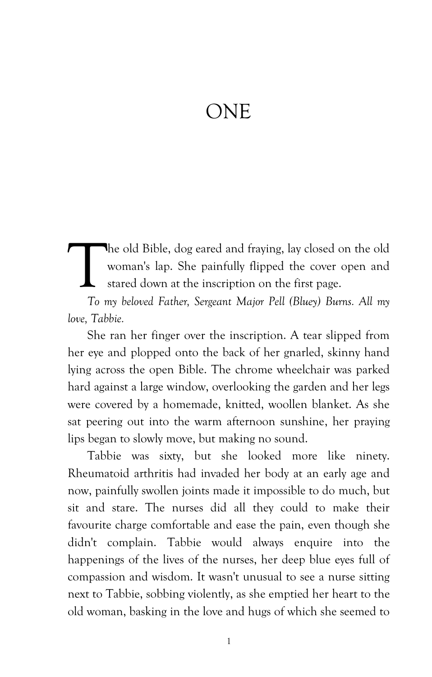## ONE

he old Bible, dog eared and fraying, lay closed on the old woman's lap. She painfully flipped the cover open and stared down at the inscription on the first page.  $\prod_{\tau_{\text{max}}}$ 

*To my beloved Father, Sergeant Major Pell (Bluey) Burns. All my love, Tabbie.*

She ran her finger over the inscription. A tear slipped from her eye and plopped onto the back of her gnarled, skinny hand lying across the open Bible. The chrome wheelchair was parked hard against a large window, overlooking the garden and her legs were covered by a homemade, knitted, woollen blanket. As she sat peering out into the warm afternoon sunshine, her praying lips began to slowly move, but making no sound.

Tabbie was sixty, but she looked more like ninety. Rheumatoid arthritis had invaded her body at an early age and now, painfully swollen joints made it impossible to do much, but sit and stare. The nurses did all they could to make their favourite charge comfortable and ease the pain, even though she didn't complain. Tabbie would always enquire into the happenings of the lives of the nurses, her deep blue eyes full of compassion and wisdom. It wasn't unusual to see a nurse sitting next to Tabbie, sobbing violently, as she emptied her heart to the old woman, basking in the love and hugs of which she seemed to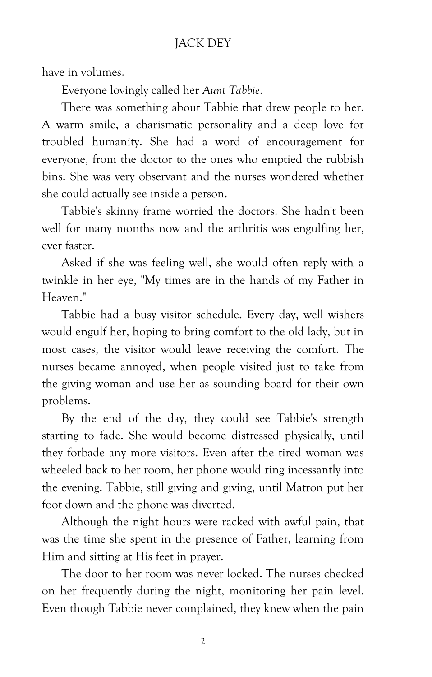## JACK DEY

have in volumes.

Everyone lovingly called her *Aunt Tabbie*.

There was something about Tabbie that drew people to her. A warm smile, a charismatic personality and a deep love for troubled humanity. She had a word of encouragement for everyone, from the doctor to the ones who emptied the rubbish bins. She was very observant and the nurses wondered whether she could actually see inside a person.

Tabbie's skinny frame worried the doctors. She hadn't been well for many months now and the arthritis was engulfing her, ever faster.

Asked if she was feeling well, she would often reply with a twinkle in her eye, "My times are in the hands of my Father in Heaven."

Tabbie had a busy visitor schedule. Every day, well wishers would engulf her, hoping to bring comfort to the old lady, but in most cases, the visitor would leave receiving the comfort. The nurses became annoyed, when people visited just to take from the giving woman and use her as sounding board for their own problems.

By the end of the day, they could see Tabbie's strength starting to fade. She would become distressed physically, until they forbade any more visitors. Even after the tired woman was wheeled back to her room, her phone would ring incessantly into the evening. Tabbie, still giving and giving, until Matron put her foot down and the phone was diverted.

Although the night hours were racked with awful pain, that was the time she spent in the presence of Father, learning from Him and sitting at His feet in prayer.

The door to her room was never locked. The nurses checked on her frequently during the night, monitoring her pain level. Even though Tabbie never complained, they knew when the pain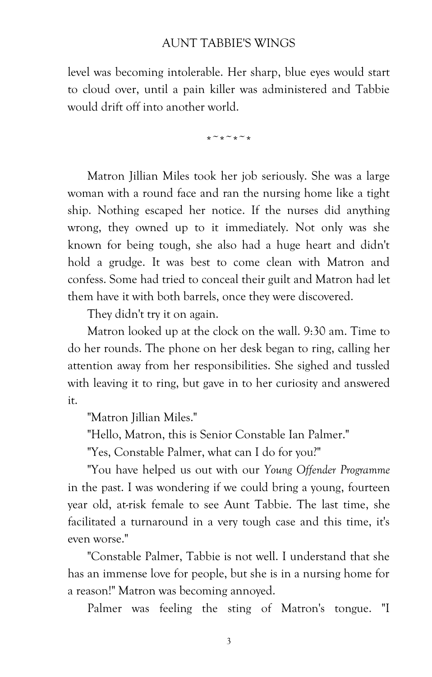## AUNT TABBIE'S WINGS

level was becoming intolerable. Her sharp, blue eyes would start to cloud over, until a pain killer was administered and Tabbie would drift off into another world.

 $*~$ 

Matron Jillian Miles took her job seriously. She was a large woman with a round face and ran the nursing home like a tight ship. Nothing escaped her notice. If the nurses did anything wrong, they owned up to it immediately. Not only was she known for being tough, she also had a huge heart and didn't hold a grudge. It was best to come clean with Matron and confess. Some had tried to conceal their guilt and Matron had let them have it with both barrels, once they were discovered.

They didn't try it on again.

Matron looked up at the clock on the wall. 9:30 am. Time to do her rounds. The phone on her desk began to ring, calling her attention away from her responsibilities. She sighed and tussled with leaving it to ring, but gave in to her curiosity and answered it.

"Matron Iillian Miles."

"Hello, Matron, this is Senior Constable Ian Palmer."

"Yes, Constable Palmer, what can I do for you?"

"You have helped us out with our *Young Offender Programme* in the past. I was wondering if we could bring a young, fourteen year old, at-risk female to see Aunt Tabbie. The last time, she facilitated a turnaround in a very tough case and this time, it's even worse."

"Constable Palmer, Tabbie is not well. I understand that she has an immense love for people, but she is in a nursing home for a reason!" Matron was becoming annoyed.

Palmer was feeling the sting of Matron's tongue. "I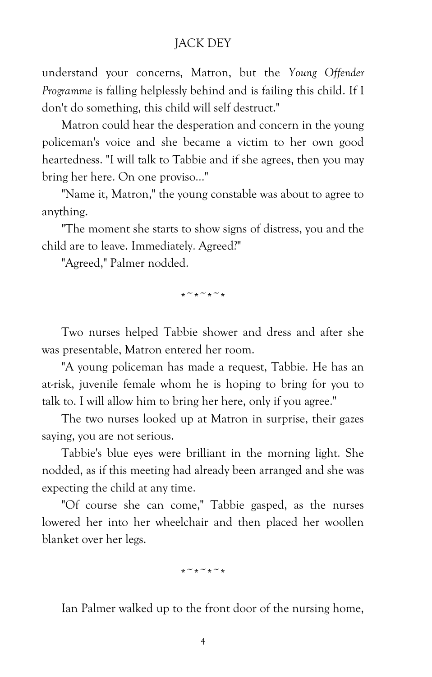## JACK DEY

understand your concerns, Matron, but the *Young Offender Programme* is falling helplessly behind and is failing this child. If I don't do something, this child will self destruct."

Matron could hear the desperation and concern in the young policeman's voice and she became a victim to her own good heartedness. "I will talk to Tabbie and if she agrees, then you may bring her here. On one proviso…"

"Name it, Matron," the young constable was about to agree to anything.

"The moment she starts to show signs of distress, you and the child are to leave. Immediately. Agreed?"

"Agreed," Palmer nodded.

 $*~$ \*\* $~$ \*

Two nurses helped Tabbie shower and dress and after she was presentable, Matron entered her room.

"A young policeman has made a request, Tabbie. He has an at-risk, juvenile female whom he is hoping to bring for you to talk to. I will allow him to bring her here, only if you agree."

The two nurses looked up at Matron in surprise, their gazes saying, you are not serious.

Tabbie's blue eyes were brilliant in the morning light. She nodded, as if this meeting had already been arranged and she was expecting the child at any time.

"Of course she can come," Tabbie gasped, as the nurses lowered her into her wheelchair and then placed her woollen blanket over her legs.

 $*~$ \* $~$ \* $~$ \*

Ian Palmer walked up to the front door of the nursing home,